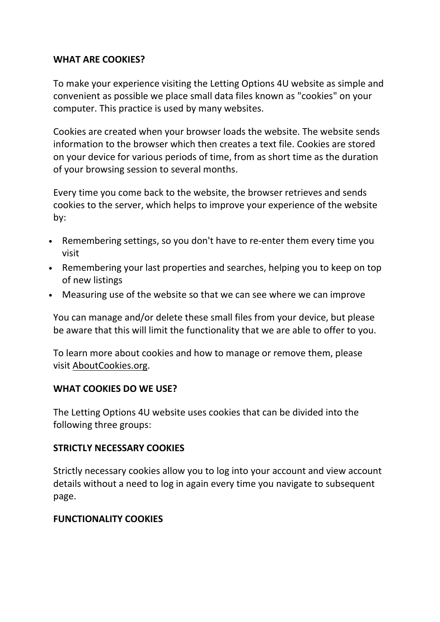### WHAT ARE COOKIES?

To make your experience visiting the Letting Options 4U website as simple and convenient as possible we place small data files known as "cookies" on your computer. This practice is used by many websites.

Cookies are created when your browser loads the website. The website sends information to the browser which then creates a text file. Cookies are stored on your device for various periods of time, from as short time as the duration of your browsing session to several months.

Every time you come back to the website, the browser retrieves and sends cookies to the server, which helps to improve your experience of the website by:

- Remembering settings, so you don't have to re-enter them every time you visit
- Remembering your last properties and searches, helping you to keep on top of new listings
- Measuring use of the website so that we can see where we can improve

You can manage and/or delete these small files from your device, but please be aware that this will limit the functionality that we are able to offer to you.

To learn more about cookies and how to manage or remove them, please visit AboutCookies.org.

#### WHAT COOKIES DO WE USE?

The Letting Options 4U website uses cookies that can be divided into the following three groups:

#### STRICTLY NECESSARY COOKIES

Strictly necessary cookies allow you to log into your account and view account details without a need to log in again every time you navigate to subsequent page.

#### FUNCTIONALITY COOKIES